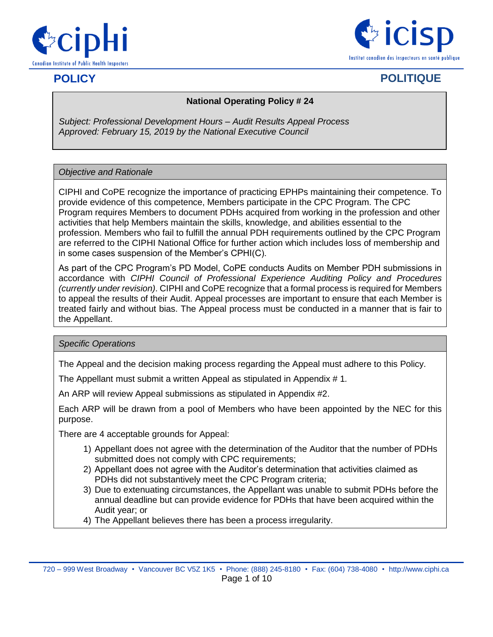



# **POLICY POLITIQUE**

#### **National Operating Policy # 24**

*Subject: Professional Development Hours – Audit Results Appeal Process Approved: February 15, 2019 by the National Executive Council*

#### *Objective and Rationale*

CIPHI and CoPE recognize the importance of practicing EPHPs maintaining their competence. To provide evidence of this competence, Members participate in the CPC Program. The CPC Program requires Members to document PDHs acquired from working in the profession and other activities that help Members maintain the skills, knowledge, and abilities essential to the profession. Members who fail to fulfill the annual PDH requirements outlined by the CPC Program are referred to the CIPHI National Office for further action which includes loss of membership and in some cases suspension of the Member's CPHI(C).

As part of the CPC Program's PD Model, CoPE conducts Audits on Member PDH submissions in accordance with *CIPHI Council of Professional Experience Auditing Policy and Procedures (currently under revision)*. CIPHI and CoPE recognize that a formal process is required for Members to appeal the results of their Audit. Appeal processes are important to ensure that each Member is treated fairly and without bias. The Appeal process must be conducted in a manner that is fair to the Appellant.

#### *Specific Operations*

The Appeal and the decision making process regarding the Appeal must adhere to this Policy.

The Appellant must submit a written Appeal as stipulated in Appendix # 1*.*

An ARP will review Appeal submissions as stipulated in Appendix #2.

Each ARP will be drawn from a pool of Members who have been appointed by the NEC for this purpose.

There are 4 acceptable grounds for Appeal:

- 1) Appellant does not agree with the determination of the Auditor that the number of PDHs submitted does not comply with CPC requirements;
- 2) Appellant does not agree with the Auditor's determination that activities claimed as PDHs did not substantively meet the CPC Program criteria;
- 3) Due to extenuating circumstances, the Appellant was unable to submit PDHs before the annual deadline but can provide evidence for PDHs that have been acquired within the Audit year; or
- 4) The Appellant believes there has been a process irregularity.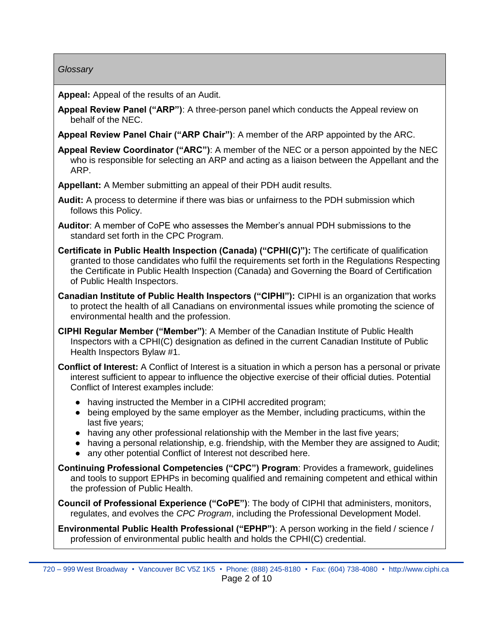#### *Glossary*

**Appeal:** Appeal of the results of an Audit.

**Appeal Review Panel ("ARP")**: A three-person panel which conducts the Appeal review on behalf of the NEC.

**Appeal Review Panel Chair ("ARP Chair")**: A member of the ARP appointed by the ARC.

**Appeal Review Coordinator ("ARC")**: A member of the NEC or a person appointed by the NEC who is responsible for selecting an ARP and acting as a liaison between the Appellant and the ARP.

**Appellant:** A Member submitting an appeal of their PDH audit results.

- **Audit:** A process to determine if there was bias or unfairness to the PDH submission which follows this Policy.
- **Auditor**: A member of CoPE who assesses the Member's annual PDH submissions to the standard set forth in the CPC Program.
- **Certificate in Public Health Inspection (Canada) ("CPHI(C)"):** The certificate of qualification granted to those candidates who fulfil the requirements set forth in the Regulations Respecting the Certificate in Public Health Inspection (Canada) and Governing the Board of Certification of Public Health Inspectors.
- **Canadian Institute of Public Health Inspectors ("CIPHI"):** CIPHI is an organization that works to protect the health of all Canadians on environmental issues while promoting the science of environmental health and the profession.
- **CIPHI Regular Member ("Member")**: A Member of the Canadian Institute of Public Health Inspectors with a CPHI(C) designation as defined in the current Canadian Institute of Public Health Inspectors Bylaw #1.
- **Conflict of Interest:** A Conflict of Interest is a situation in which a person has a personal or private interest sufficient to appear to influence the objective exercise of their official duties. Potential Conflict of Interest examples include:
	- having instructed the Member in a CIPHI accredited program;
	- being employed by the same employer as the Member, including practicums, within the last five years;
	- having any other professional relationship with the Member in the last five years;
	- having a personal relationship, e.g. friendship, with the Member they are assigned to Audit;
	- any other potential Conflict of Interest not described here.

**Continuing Professional Competencies ("CPC") Program**: Provides a framework, guidelines and tools to support EPHPs in becoming qualified and remaining competent and ethical within the profession of Public Health.

**Council of Professional Experience ("CoPE")**: The body of CIPHI that administers, monitors, regulates, and evolves the *CPC Program*, including the Professional Development Model.

**Environmental Public Health Professional ("EPHP")**: A person working in the field / science / profession of environmental public health and holds the CPHI(C) credential.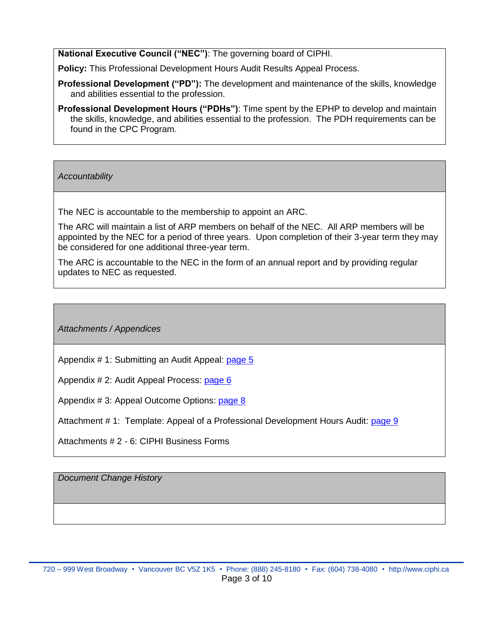**National Executive Council ("NEC")**: The governing board of CIPHI.

**Policy:** This Professional Development Hours Audit Results Appeal Process.

- **Professional Development ("PD"):** The development and maintenance of the skills, knowledge and abilities essential to the profession.
- **Professional Development Hours ("PDHs")**: Time spent by the EPHP to develop and maintain the skills, knowledge, and abilities essential to the profession. The PDH requirements can be found in the CPC Program.

*Accountability*

The NEC is accountable to the membership to appoint an ARC.

The ARC will maintain a list of ARP members on behalf of the NEC. All ARP members will be appointed by the NEC for a period of three years. Upon completion of their 3-year term they may be considered for one additional three-year term.

The ARC is accountable to the NEC in the form of an annual report and by providing regular updates to NEC as requested.

*Attachments / Appendices*

Appendix # 1: Submitting an Audit Appeal: [page 5](#page-3-0)

Appendix # 2: Audit Appeal Process: [page 6](#page-4-0)

Appendix # 3: Appeal Outcome Options: [page 8](#page-6-0)

Attachment # 1: Template: Appeal of a Professional Development Hours Audit: [page 9](#page-7-0)

Attachments # 2 - 6: CIPHI Business Forms

*Document Change History*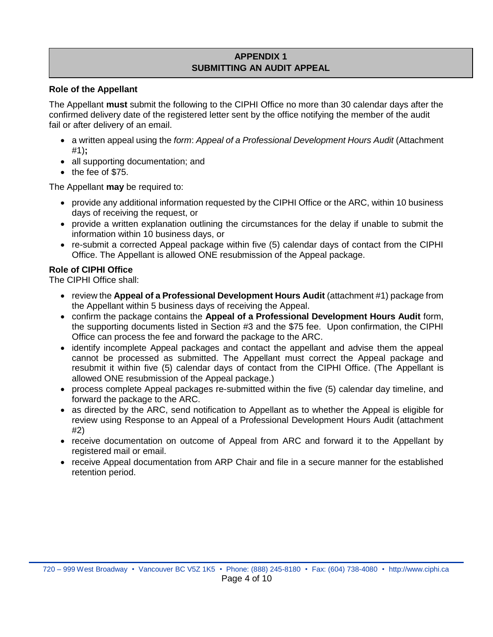#### **APPENDIX 1 SUBMITTING AN AUDIT APPEAL**

#### <span id="page-3-0"></span>**Role of the Appellant**

The Appellant **must** submit the following to the CIPHI Office no more than 30 calendar days after the confirmed delivery date of the registered letter sent by the office notifying the member of the audit fail or after delivery of an email.

- a written appeal using the *form*: *Appeal of a Professional Development Hours Audit* (Attachment #1)**;**
- all supporting documentation; and
- the fee of \$75.

The Appellant **may** be required to:

- provide any additional information requested by the CIPHI Office or the ARC, within 10 business days of receiving the request, or
- provide a written explanation outlining the circumstances for the delay if unable to submit the information within 10 business days, or
- re-submit a corrected Appeal package within five (5) calendar days of contact from the CIPHI Office. The Appellant is allowed ONE resubmission of the Appeal package.

#### **Role of CIPHI Office**

The CIPHI Office shall:

- review the **Appeal of a Professional Development Hours Audit** (attachment #1) package from the Appellant within 5 business days of receiving the Appeal.
- confirm the package contains the **Appeal of a Professional Development Hours Audit** form, the supporting documents listed in Section #3 and the \$75 fee. Upon confirmation, the CIPHI Office can process the fee and forward the package to the ARC.
- identify incomplete Appeal packages and contact the appellant and advise them the appeal cannot be processed as submitted. The Appellant must correct the Appeal package and resubmit it within five (5) calendar days of contact from the CIPHI Office. (The Appellant is allowed ONE resubmission of the Appeal package.)
- process complete Appeal packages re-submitted within the five (5) calendar day timeline, and forward the package to the ARC.
- as directed by the ARC, send notification to Appellant as to whether the Appeal is eligible for review using Response to an Appeal of a Professional Development Hours Audit (attachment #2)
- receive documentation on outcome of Appeal from ARC and forward it to the Appellant by registered mail or email.
- receive Appeal documentation from ARP Chair and file in a secure manner for the established retention period.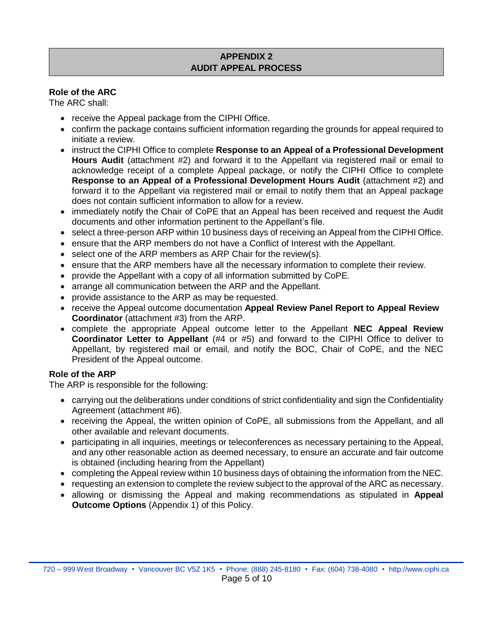#### **APPENDIX 2 AUDIT APPEAL PROCESS**

#### <span id="page-4-0"></span>**Role of the ARC**

The ARC shall:

- receive the Appeal package from the CIPHI Office.
- confirm the package contains sufficient information regarding the grounds for appeal required to initiate a review.
- instruct the CIPHI Office to complete **Response to an Appeal of a Professional Development Hours Audit** (attachment #2) and forward it to the Appellant via registered mail or email to acknowledge receipt of a complete Appeal package, or notify the CIPHI Office to complete **Response to an Appeal of a Professional Development Hours Audit** (attachment #2) and forward it to the Appellant via registered mail or email to notify them that an Appeal package does not contain sufficient information to allow for a review.
- immediately notify the Chair of CoPE that an Appeal has been received and request the Audit documents and other information pertinent to the Appellant's file.
- select a three-person ARP within 10 business days of receiving an Appeal from the CIPHI Office.
- ensure that the ARP members do not have a Conflict of Interest with the Appellant.
- select one of the ARP members as ARP Chair for the review(s).
- ensure that the ARP members have all the necessary information to complete their review.
- provide the Appellant with a copy of all information submitted by CoPE.
- arrange all communication between the ARP and the Appellant.
- provide assistance to the ARP as may be requested.
- receive the Appeal outcome documentation **Appeal Review Panel Report to Appeal Review Coordinator** (attachment #3) from the ARP.
- complete the appropriate Appeal outcome letter to the Appellant **NEC Appeal Review Coordinator Letter to Appellant** (#4 or #5) and forward to the CIPHI Office to deliver to Appellant, by registered mail or email, and notify the BOC, Chair of CoPE, and the NEC President of the Appeal outcome.

#### **Role of the ARP**

The ARP is responsible for the following:

- carrying out the deliberations under conditions of strict confidentiality and sign the Confidentiality Agreement (attachment #6).
- receiving the Appeal, the written opinion of CoPE, all submissions from the Appellant, and all other available and relevant documents.
- participating in all inquiries, meetings or teleconferences as necessary pertaining to the Appeal, and any other reasonable action as deemed necessary, to ensure an accurate and fair outcome is obtained (including hearing from the Appellant)
- completing the Appeal review within 10 business days of obtaining the information from the NEC.
- requesting an extension to complete the review subject to the approval of the ARC as necessary.
- allowing or dismissing the Appeal and making recommendations as stipulated in **Appeal Outcome Options** (Appendix 1) of this Policy.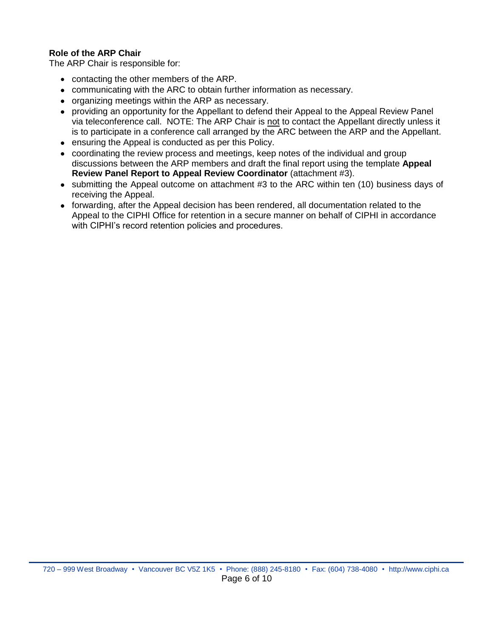# **Role of the ARP Chair**

The ARP Chair is responsible for:

- contacting the other members of the ARP.
- communicating with the ARC to obtain further information as necessary.
- organizing meetings within the ARP as necessary.
- providing an opportunity for the Appellant to defend their Appeal to the Appeal Review Panel via teleconference call. NOTE: The ARP Chair is not to contact the Appellant directly unless it is to participate in a conference call arranged by the ARC between the ARP and the Appellant.
- ensuring the Appeal is conducted as per this Policy.
- coordinating the review process and meetings, keep notes of the individual and group discussions between the ARP members and draft the final report using the template **Appeal Review Panel Report to Appeal Review Coordinator** (attachment #3).
- submitting the Appeal outcome on attachment #3 to the ARC within ten (10) business days of receiving the Appeal.
- forwarding, after the Appeal decision has been rendered, all documentation related to the Appeal to the CIPHI Office for retention in a secure manner on behalf of CIPHI in accordance with CIPHI's record retention policies and procedures.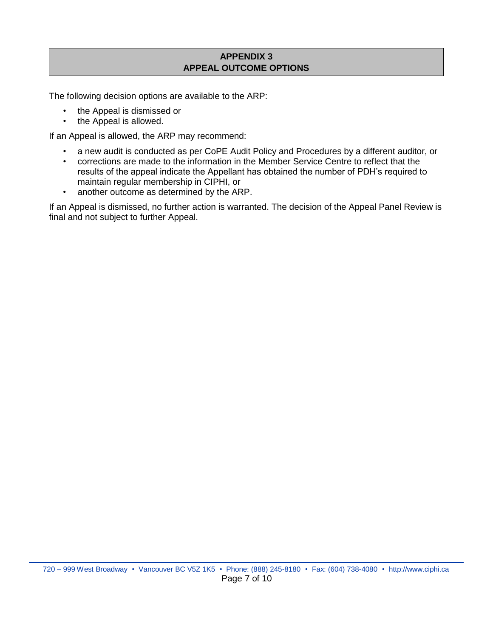# **APPENDIX 3 APPEAL OUTCOME OPTIONS**

<span id="page-6-0"></span>The following decision options are available to the ARP:

- the Appeal is dismissed or
- the Appeal is allowed.

If an Appeal is allowed, the ARP may recommend:

- a new audit is conducted as per CoPE Audit Policy and Procedures by a different auditor, or
- corrections are made to the information in the Member Service Centre to reflect that the results of the appeal indicate the Appellant has obtained the number of PDH's required to maintain regular membership in CIPHI, or
- another outcome as determined by the ARP.

If an Appeal is dismissed, no further action is warranted. The decision of the Appeal Panel Review is final and not subject to further Appeal.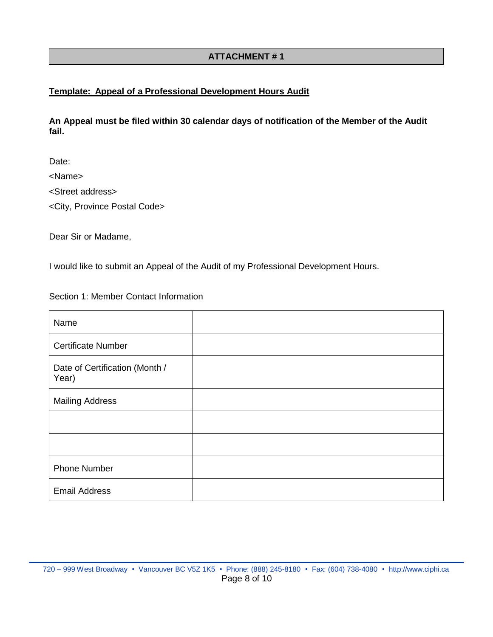# **ATTACHMENT # 1**

## <span id="page-7-0"></span>**Template: Appeal of a Professional Development Hours Audit**

**An Appeal must be filed within 30 calendar days of notification of the Member of the Audit fail.**

Date:

<Name>

<Street address>

<City, Province Postal Code>

Dear Sir or Madame,

I would like to submit an Appeal of the Audit of my Professional Development Hours.

Section 1: Member Contact Information

| Name                                    |  |
|-----------------------------------------|--|
| <b>Certificate Number</b>               |  |
| Date of Certification (Month /<br>Year) |  |
| <b>Mailing Address</b>                  |  |
|                                         |  |
|                                         |  |
| <b>Phone Number</b>                     |  |
| <b>Email Address</b>                    |  |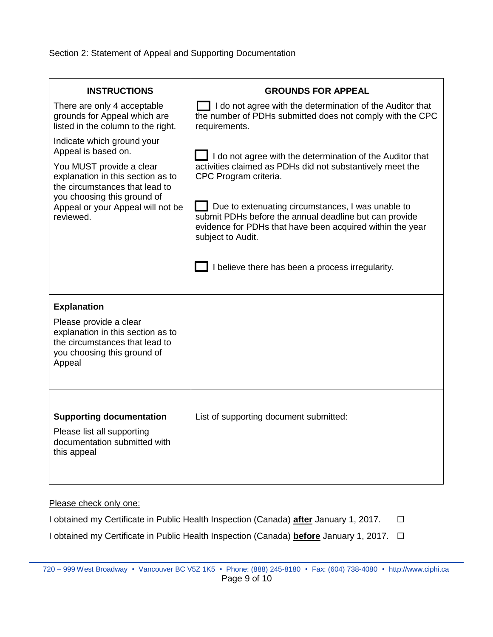Section 2: Statement of Appeal and Supporting Documentation

| <b>INSTRUCTIONS</b>                                                                                                                    | <b>GROUNDS FOR APPEAL</b>                                                                                                                                                                     |
|----------------------------------------------------------------------------------------------------------------------------------------|-----------------------------------------------------------------------------------------------------------------------------------------------------------------------------------------------|
| There are only 4 acceptable<br>grounds for Appeal which are<br>listed in the column to the right.                                      | I do not agree with the determination of the Auditor that<br>the number of PDHs submitted does not comply with the CPC<br>requirements.                                                       |
| Indicate which ground your<br>Appeal is based on.                                                                                      | I do not agree with the determination of the Auditor that                                                                                                                                     |
| You MUST provide a clear<br>explanation in this section as to<br>the circumstances that lead to                                        | activities claimed as PDHs did not substantively meet the<br>CPC Program criteria.                                                                                                            |
| you choosing this ground of<br>Appeal or your Appeal will not be<br>reviewed.                                                          | Due to extenuating circumstances, I was unable to<br>submit PDHs before the annual deadline but can provide<br>evidence for PDHs that have been acquired within the year<br>subject to Audit. |
|                                                                                                                                        | I believe there has been a process irregularity.                                                                                                                                              |
| <b>Explanation</b>                                                                                                                     |                                                                                                                                                                                               |
| Please provide a clear<br>explanation in this section as to<br>the circumstances that lead to<br>you choosing this ground of<br>Appeal |                                                                                                                                                                                               |
|                                                                                                                                        |                                                                                                                                                                                               |
| <b>Supporting documentation</b>                                                                                                        | List of supporting document submitted:                                                                                                                                                        |
| Please list all supporting<br>documentation submitted with<br>this appeal                                                              |                                                                                                                                                                                               |

Please check only one:

I obtained my Certificate in Public Health Inspection (Canada) **after** January 1, 2017. ☐

I obtained my Certificate in Public Health Inspection (Canada) **before** January 1, 2017. ☐